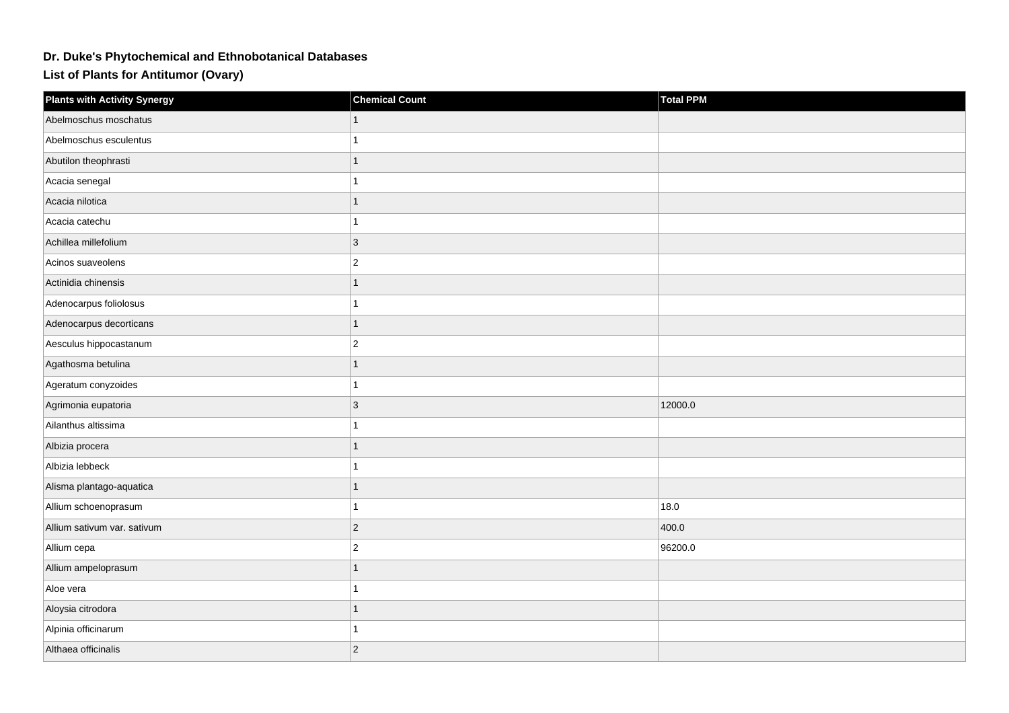## **Dr. Duke's Phytochemical and Ethnobotanical Databases**

**List of Plants for Antitumor (Ovary)**

| <b>Plants with Activity Synergy</b> | <b>Chemical Count</b> | <b>Total PPM</b> |
|-------------------------------------|-----------------------|------------------|
| Abelmoschus moschatus               |                       |                  |
| Abelmoschus esculentus              | 1                     |                  |
| Abutilon theophrasti                | $\mathbf{1}$          |                  |
| Acacia senegal                      | $\mathbf{1}$          |                  |
| Acacia nilotica                     | $\mathbf{1}$          |                  |
| Acacia catechu                      | 1                     |                  |
| Achillea millefolium                | 3                     |                  |
| Acinos suaveolens                   | $\overline{2}$        |                  |
| Actinidia chinensis                 | 1                     |                  |
| Adenocarpus foliolosus              | 1                     |                  |
| Adenocarpus decorticans             | $\mathbf{1}$          |                  |
| Aesculus hippocastanum              | $\overline{2}$        |                  |
| Agathosma betulina                  | 1                     |                  |
| Ageratum conyzoides                 | 1                     |                  |
| Agrimonia eupatoria                 | $ 3\rangle$           | 12000.0          |
| Ailanthus altissima                 | $\mathbf{1}$          |                  |
| Albizia procera                     | 1                     |                  |
| Albizia lebbeck                     | 1                     |                  |
| Alisma plantago-aquatica            | $\mathbf{1}$          |                  |
| Allium schoenoprasum                | 1                     | 18.0             |
| Allium sativum var. sativum         | $ 2\rangle$           | 400.0            |
| Allium cepa                         | $ 2\rangle$           | 96200.0          |
| Allium ampeloprasum                 | 1                     |                  |
| Aloe vera                           | 1                     |                  |
| Aloysia citrodora                   | 1                     |                  |
| Alpinia officinarum                 | 1                     |                  |
| Althaea officinalis                 | $ 2\rangle$           |                  |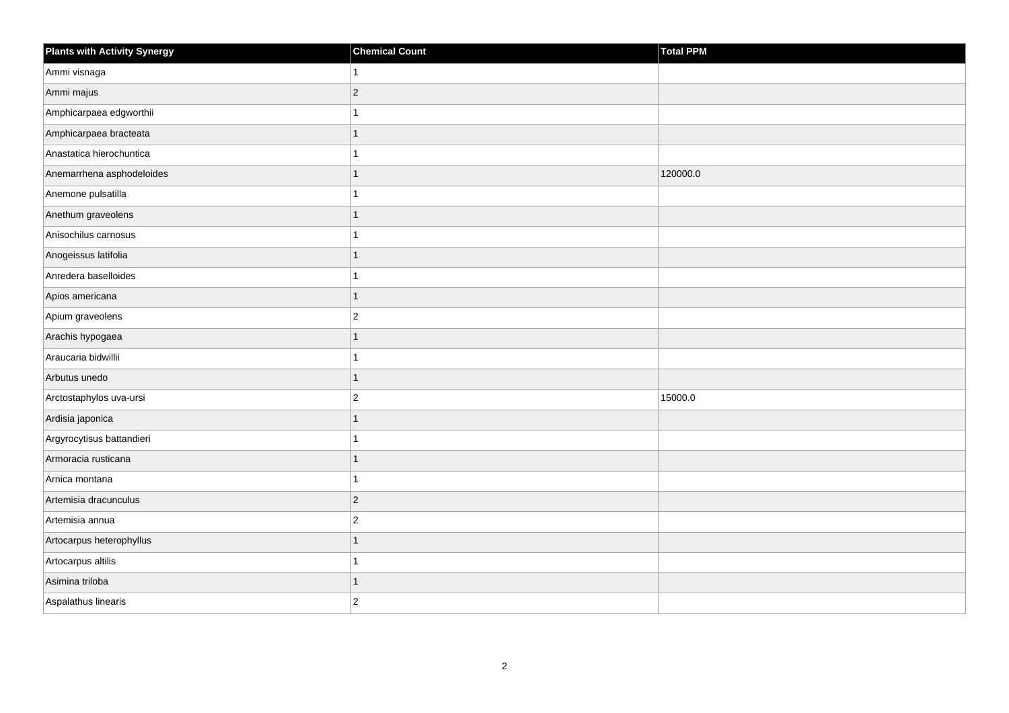| <b>Plants with Activity Synergy</b> | <b>Chemical Count</b> | Total PPM |
|-------------------------------------|-----------------------|-----------|
| Ammi visnaga                        |                       |           |
| Ammi majus                          | $\overline{2}$        |           |
| Amphicarpaea edgworthii             |                       |           |
| Amphicarpaea bracteata              | 1                     |           |
| Anastatica hierochuntica            |                       |           |
| Anemarrhena asphodeloides           |                       | 120000.0  |
| Anemone pulsatilla                  |                       |           |
| Anethum graveolens                  | 1                     |           |
| Anisochilus carnosus                |                       |           |
| Anogeissus latifolia                | 1                     |           |
| Anredera baselloides                |                       |           |
| Apios americana                     |                       |           |
| Apium graveolens                    | $\overline{2}$        |           |
| Arachis hypogaea                    | 1                     |           |
| Araucaria bidwillii                 |                       |           |
| Arbutus unedo                       | 1                     |           |
| Arctostaphylos uva-ursi             | $\overline{2}$        | 15000.0   |
| Ardisia japonica                    |                       |           |
| Argyrocytisus battandieri           | 1                     |           |
| Armoracia rusticana                 |                       |           |
| Arnica montana                      |                       |           |
| Artemisia dracunculus               | $\overline{c}$        |           |
| Artemisia annua                     | $\overline{2}$        |           |
| Artocarpus heterophyllus            |                       |           |
| Artocarpus altilis                  | 1                     |           |
| Asimina triloba                     | 1                     |           |
| Aspalathus linearis                 | $\overline{2}$        |           |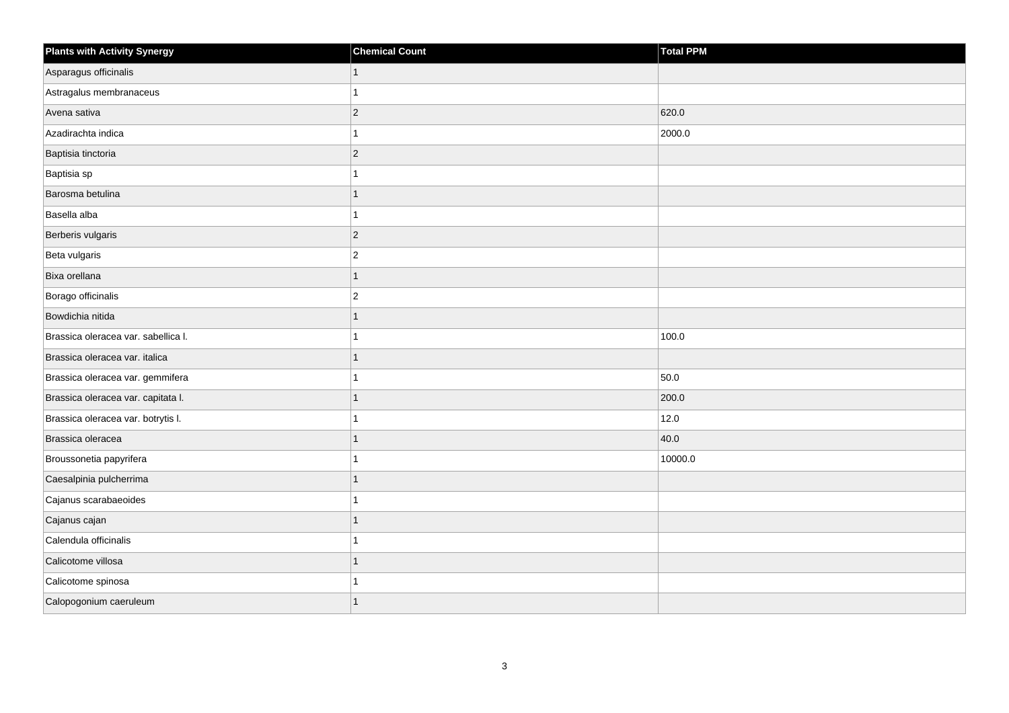| <b>Plants with Activity Synergy</b> | <b>Chemical Count</b> | Total PPM |
|-------------------------------------|-----------------------|-----------|
| Asparagus officinalis               | $\mathbf{1}$          |           |
| Astragalus membranaceus             | 1                     |           |
| Avena sativa                        | $ 2\rangle$           | 620.0     |
| Azadirachta indica                  | 1                     | 2000.0    |
| Baptisia tinctoria                  | $ 2\rangle$           |           |
| Baptisia sp                         | 1                     |           |
| Barosma betulina                    | $\overline{1}$        |           |
| Basella alba                        | 1                     |           |
| Berberis vulgaris                   | $ 2\rangle$           |           |
| Beta vulgaris                       | $\vert$ 2             |           |
| Bixa orellana                       | $\mathbf{1}$          |           |
| Borago officinalis                  | $ 2\rangle$           |           |
| Bowdichia nitida                    | 1                     |           |
| Brassica oleracea var. sabellica I. | 1                     | 100.0     |
| Brassica oleracea var. italica      | $\mathbf{1}$          |           |
| Brassica oleracea var. gemmifera    | 1                     | 50.0      |
| Brassica oleracea var. capitata I.  | 1                     | 200.0     |
| Brassica oleracea var. botrytis I.  | 1                     | 12.0      |
| Brassica oleracea                   | $\mathbf{1}$          | 40.0      |
| Broussonetia papyrifera             | 1                     | 10000.0   |
| Caesalpinia pulcherrima             | $\mathbf{1}$          |           |
| Cajanus scarabaeoides               | 1                     |           |
| Cajanus cajan                       | 1                     |           |
| Calendula officinalis               | 1                     |           |
| Calicotome villosa                  | $\mathbf{1}$          |           |
| Calicotome spinosa                  | 1                     |           |
| Calopogonium caeruleum              | 1                     |           |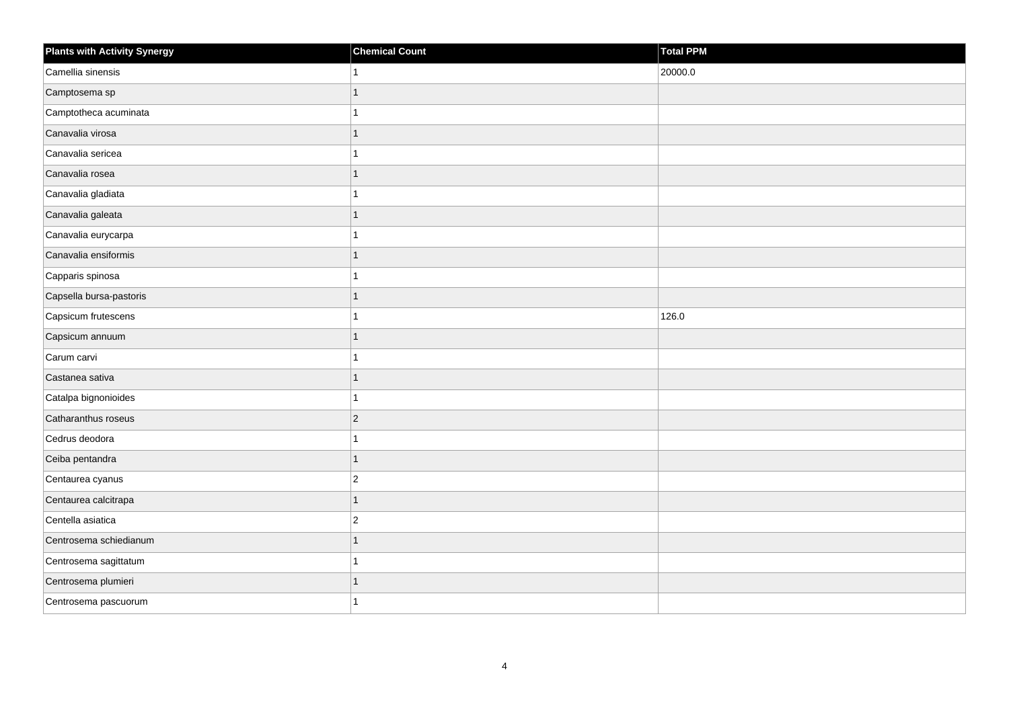| <b>Plants with Activity Synergy</b> | <b>Chemical Count</b> | Total PPM |
|-------------------------------------|-----------------------|-----------|
| Camellia sinensis                   |                       | 20000.0   |
| Camptosema sp                       | 1                     |           |
| Camptotheca acuminata               | 1                     |           |
| Canavalia virosa                    | 1                     |           |
| Canavalia sericea                   | 1                     |           |
| Canavalia rosea                     | 1                     |           |
| Canavalia gladiata                  | 1                     |           |
| Canavalia galeata                   | 1                     |           |
| Canavalia eurycarpa                 | 1                     |           |
| Canavalia ensiformis                | 1                     |           |
| Capparis spinosa                    | 1                     |           |
| Capsella bursa-pastoris             | 1                     |           |
| Capsicum frutescens                 | 1                     | 126.0     |
| Capsicum annuum                     | 1                     |           |
| Carum carvi                         | 1                     |           |
| Castanea sativa                     | 1                     |           |
| Catalpa bignonioides                | 1                     |           |
| Catharanthus roseus                 | $\vert$ 2             |           |
| Cedrus deodora                      | 1                     |           |
| Ceiba pentandra                     | 1                     |           |
| Centaurea cyanus                    | $\overline{2}$        |           |
| Centaurea calcitrapa                | 1                     |           |
| Centella asiatica                   | $\overline{2}$        |           |
| Centrosema schiedianum              | 1                     |           |
| Centrosema sagittatum               | 1                     |           |
| Centrosema plumieri                 | 1                     |           |
| Centrosema pascuorum                | 1                     |           |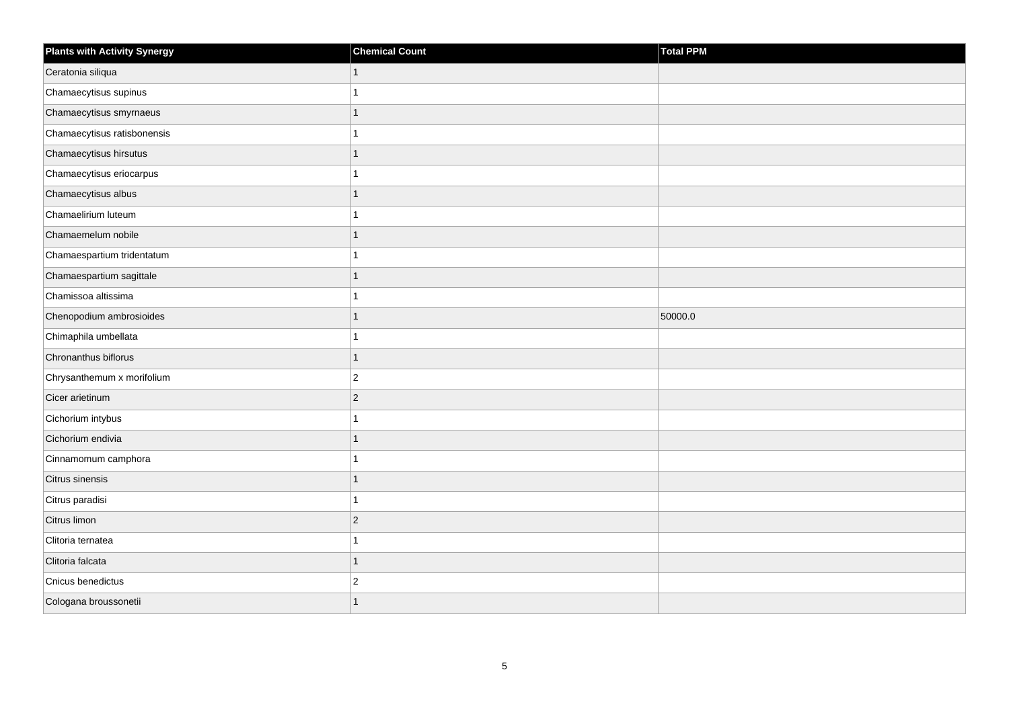| <b>Plants with Activity Synergy</b> | <b>Chemical Count</b> | <b>Total PPM</b> |
|-------------------------------------|-----------------------|------------------|
| Ceratonia siliqua                   | $\mathbf{1}$          |                  |
| Chamaecytisus supinus               |                       |                  |
| Chamaecytisus smyrnaeus             | 1                     |                  |
| Chamaecytisus ratisbonensis         | 1                     |                  |
| Chamaecytisus hirsutus              | $\overline{1}$        |                  |
| Chamaecytisus eriocarpus            | 1                     |                  |
| Chamaecytisus albus                 | $\overline{1}$        |                  |
| Chamaelirium luteum                 | 1                     |                  |
| Chamaemelum nobile                  | $\overline{1}$        |                  |
| Chamaespartium tridentatum          | 1                     |                  |
| Chamaespartium sagittale            | $\overline{1}$        |                  |
| Chamissoa altissima                 |                       |                  |
| Chenopodium ambrosioides            | $\overline{1}$        | 50000.0          |
| Chimaphila umbellata                | 1                     |                  |
| Chronanthus biflorus                | $\overline{1}$        |                  |
| Chrysanthemum x morifolium          | $\overline{2}$        |                  |
| Cicer arietinum                     | $\overline{2}$        |                  |
| Cichorium intybus                   | 1                     |                  |
| Cichorium endivia                   | $\overline{1}$        |                  |
| Cinnamomum camphora                 | 1                     |                  |
| Citrus sinensis                     | 1                     |                  |
| Citrus paradisi                     | 1                     |                  |
| Citrus limon                        | $\overline{2}$        |                  |
| Clitoria ternatea                   | 1                     |                  |
| Clitoria falcata                    | $\overline{1}$        |                  |
| Cnicus benedictus                   | $\overline{c}$        |                  |
| Cologana broussonetii               | $\overline{1}$        |                  |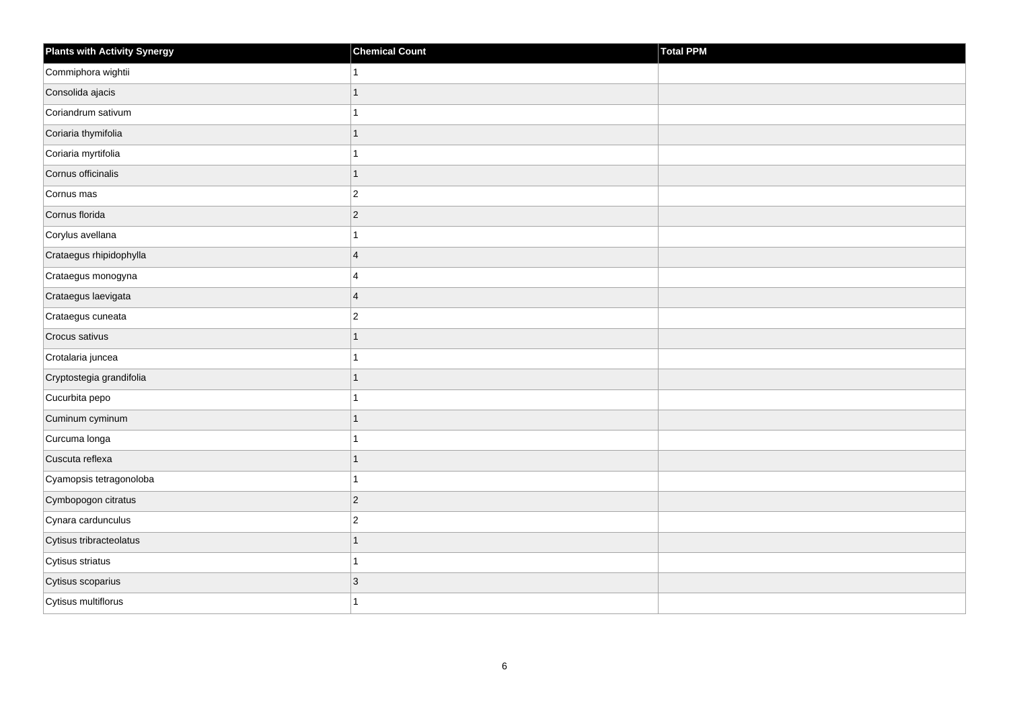| <b>Plants with Activity Synergy</b> | <b>Chemical Count</b>   | Total PPM |
|-------------------------------------|-------------------------|-----------|
| Commiphora wightii                  |                         |           |
| Consolida ajacis                    | 1                       |           |
| Coriandrum sativum                  |                         |           |
| Coriaria thymifolia                 | 1                       |           |
| Coriaria myrtifolia                 |                         |           |
| Cornus officinalis                  | 1                       |           |
| Cornus mas                          | $\overline{2}$          |           |
| Cornus florida                      | $\overline{2}$          |           |
| Corylus avellana                    |                         |           |
| Crataegus rhipidophylla             | $\overline{4}$          |           |
| Crataegus monogyna                  | $\overline{\mathbf{A}}$ |           |
| Crataegus laevigata                 | $\overline{4}$          |           |
| Crataegus cuneata                   | $\overline{2}$          |           |
| Crocus sativus                      | 1                       |           |
| Crotalaria juncea                   |                         |           |
| Cryptostegia grandifolia            | 1                       |           |
| Cucurbita pepo                      |                         |           |
| Cuminum cyminum                     |                         |           |
| Curcuma longa                       | 1                       |           |
| Cuscuta reflexa                     |                         |           |
| Cyamopsis tetragonoloba             |                         |           |
| Cymbopogon citratus                 | $\overline{c}$          |           |
| Cynara cardunculus                  | $\overline{2}$          |           |
| Cytisus tribracteolatus             |                         |           |
| Cytisus striatus                    | 1                       |           |
| Cytisus scoparius                   | 3                       |           |
| Cytisus multiflorus                 |                         |           |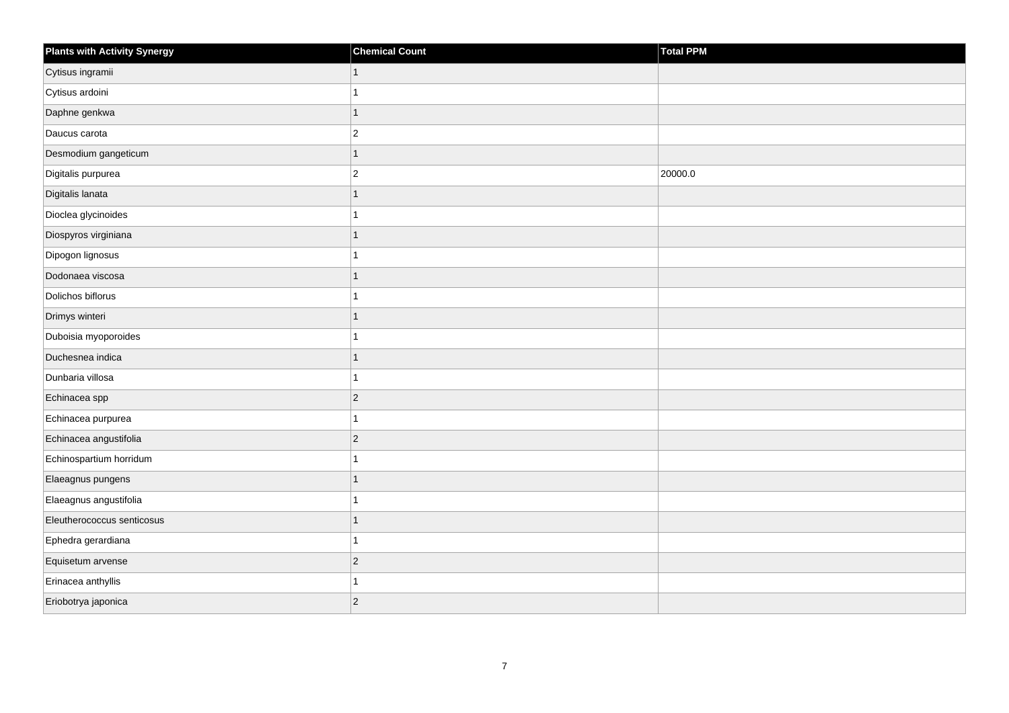| <b>Plants with Activity Synergy</b> | <b>Chemical Count</b> | <b>Total PPM</b> |
|-------------------------------------|-----------------------|------------------|
| Cytisus ingramii                    | 1                     |                  |
| Cytisus ardoini                     |                       |                  |
| Daphne genkwa                       | 1                     |                  |
| Daucus carota                       | $\overline{2}$        |                  |
| Desmodium gangeticum                |                       |                  |
| Digitalis purpurea                  | $\overline{2}$        | 20000.0          |
| Digitalis lanata                    | 1                     |                  |
| Dioclea glycinoides                 |                       |                  |
| Diospyros virginiana                | 1                     |                  |
| Dipogon lignosus                    |                       |                  |
| Dodonaea viscosa                    | 1                     |                  |
| Dolichos biflorus                   |                       |                  |
| Drimys winteri                      | 1                     |                  |
| Duboisia myoporoides                |                       |                  |
| Duchesnea indica                    | 1                     |                  |
| Dunbaria villosa                    | 1                     |                  |
| Echinacea spp                       | $\overline{2}$        |                  |
| Echinacea purpurea                  |                       |                  |
| Echinacea angustifolia              | $\overline{2}$        |                  |
| Echinospartium horridum             |                       |                  |
| Elaeagnus pungens                   |                       |                  |
| Elaeagnus angustifolia              | 1                     |                  |
| Eleutherococcus senticosus          |                       |                  |
| Ephedra gerardiana                  |                       |                  |
| Equisetum arvense                   | $\overline{c}$        |                  |
| Erinacea anthyllis                  |                       |                  |
| Eriobotrya japonica                 | $\overline{2}$        |                  |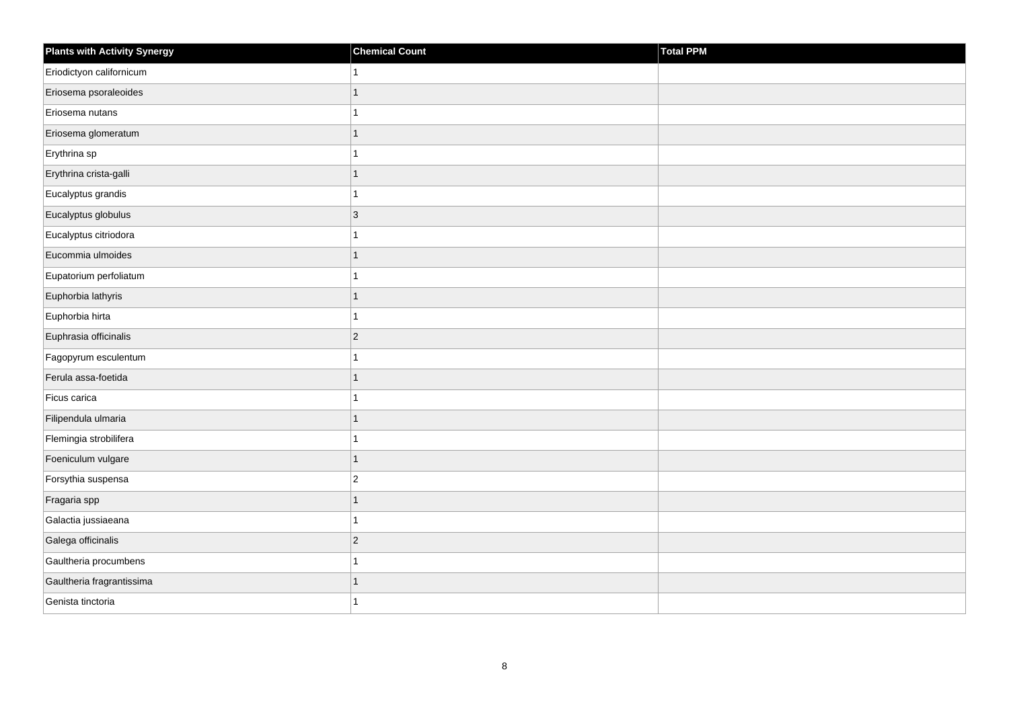| <b>Plants with Activity Synergy</b> | <b>Chemical Count</b> | Total PPM |
|-------------------------------------|-----------------------|-----------|
| Eriodictyon californicum            | 1                     |           |
| Eriosema psoraleoides               | $\overline{1}$        |           |
| Eriosema nutans                     | 1                     |           |
| Eriosema glomeratum                 | $\overline{1}$        |           |
| Erythrina sp                        | 1                     |           |
| Erythrina crista-galli              | 1                     |           |
| Eucalyptus grandis                  | 1                     |           |
| Eucalyptus globulus                 | 3                     |           |
| Eucalyptus citriodora               | 1                     |           |
| Eucommia ulmoides                   | $\overline{1}$        |           |
| Eupatorium perfoliatum              | 1                     |           |
| Euphorbia lathyris                  | 1                     |           |
| Euphorbia hirta                     | 1                     |           |
| Euphrasia officinalis               | $\overline{c}$        |           |
| Fagopyrum esculentum                | 1                     |           |
| Ferula assa-foetida                 | $\overline{1}$        |           |
| Ficus carica                        | 1                     |           |
| Filipendula ulmaria                 | $\overline{1}$        |           |
| Flemingia strobilifera              | $\overline{1}$        |           |
| Foeniculum vulgare                  | $\overline{1}$        |           |
| Forsythia suspensa                  | $\overline{2}$        |           |
| Fragaria spp                        | $\mathbf{1}$          |           |
| Galactia jussiaeana                 | 1                     |           |
| Galega officinalis                  | $\overline{c}$        |           |
| Gaultheria procumbens               | 1                     |           |
| Gaultheria fragrantissima           | 1                     |           |
| Genista tinctoria                   | 1                     |           |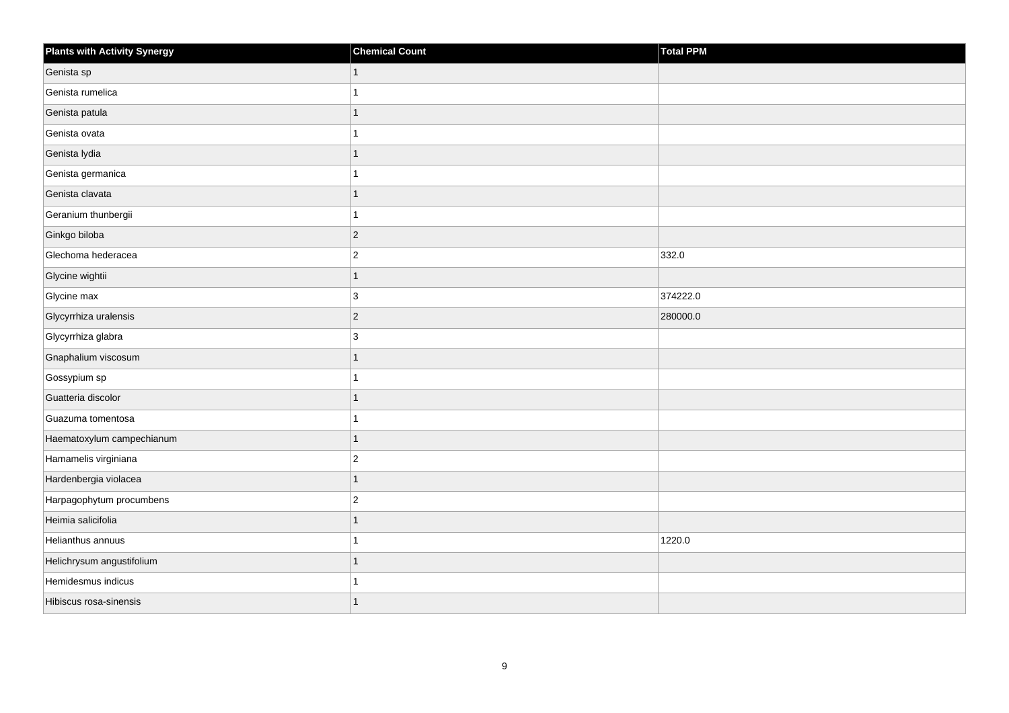| <b>Plants with Activity Synergy</b> | <b>Chemical Count</b> | Total PPM |
|-------------------------------------|-----------------------|-----------|
| Genista sp                          | 1                     |           |
| Genista rumelica                    |                       |           |
| Genista patula                      |                       |           |
| Genista ovata                       |                       |           |
| Genista lydia                       |                       |           |
| Genista germanica                   |                       |           |
| Genista clavata                     |                       |           |
| Geranium thunbergii                 |                       |           |
| Ginkgo biloba                       | $ 2\rangle$           |           |
| Glechoma hederacea                  | $\vert$ 2             | 332.0     |
| Glycine wightii                     | 1                     |           |
| Glycine max                         | 3                     | 374222.0  |
| Glycyrrhiza uralensis               | $ 2\rangle$           | 280000.0  |
| Glycyrrhiza glabra                  | 3                     |           |
| Gnaphalium viscosum                 |                       |           |
| Gossypium sp                        |                       |           |
| Guatteria discolor                  |                       |           |
| Guazuma tomentosa                   |                       |           |
| Haematoxylum campechianum           |                       |           |
| Hamamelis virginiana                | $\overline{c}$        |           |
| Hardenbergia violacea               |                       |           |
| Harpagophytum procumbens            | $\vert$ 2             |           |
| Heimia salicifolia                  |                       |           |
| Helianthus annuus                   |                       | 1220.0    |
| Helichrysum angustifolium           |                       |           |
| Hemidesmus indicus                  |                       |           |
| Hibiscus rosa-sinensis              |                       |           |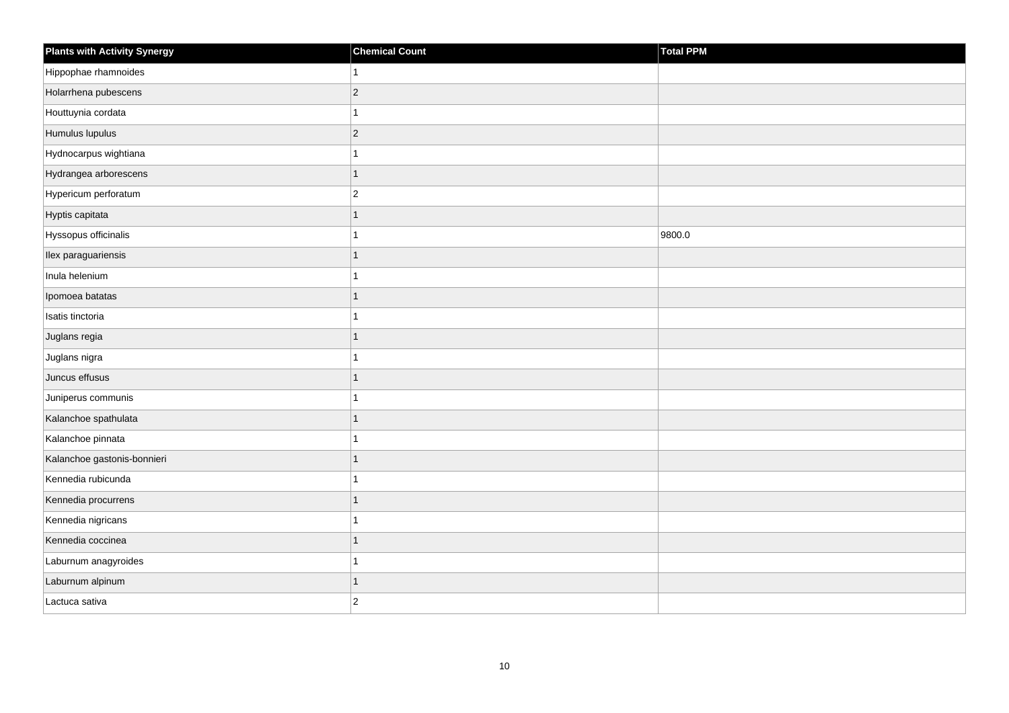| <b>Plants with Activity Synergy</b> | <b>Chemical Count</b> | Total PPM |
|-------------------------------------|-----------------------|-----------|
| Hippophae rhamnoides                |                       |           |
| Holarrhena pubescens                | $\overline{2}$        |           |
| Houttuynia cordata                  |                       |           |
| Humulus lupulus                     | $\overline{2}$        |           |
| Hydnocarpus wightiana               |                       |           |
| Hydrangea arborescens               | 1                     |           |
| Hypericum perforatum                | $\overline{c}$        |           |
| Hyptis capitata                     | 1                     |           |
| Hyssopus officinalis                |                       | 9800.0    |
| Ilex paraguariensis                 | 1                     |           |
| Inula helenium                      |                       |           |
| Ipomoea batatas                     |                       |           |
| Isatis tinctoria                    |                       |           |
| Juglans regia                       | 1                     |           |
| Juglans nigra                       |                       |           |
| Juncus effusus                      | 1                     |           |
| Juniperus communis                  |                       |           |
| Kalanchoe spathulata                |                       |           |
| Kalanchoe pinnata                   | 1                     |           |
| Kalanchoe gastonis-bonnieri         | 1                     |           |
| Kennedia rubicunda                  |                       |           |
| Kennedia procurrens                 | 1                     |           |
| Kennedia nigricans                  |                       |           |
| Kennedia coccinea                   |                       |           |
| Laburnum anagyroides                |                       |           |
| Laburnum alpinum                    | 1                     |           |
| Lactuca sativa                      | $\overline{2}$        |           |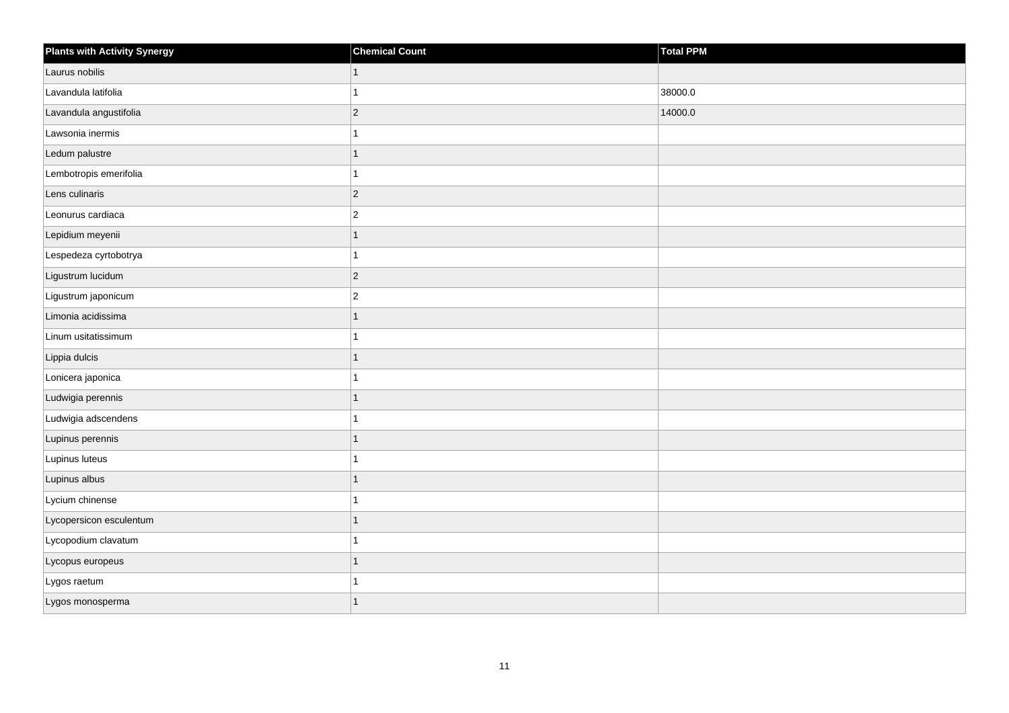| <b>Plants with Activity Synergy</b> | <b>Chemical Count</b> | Total PPM |
|-------------------------------------|-----------------------|-----------|
| Laurus nobilis                      | $\mathbf{1}$          |           |
| Lavandula latifolia                 | 1                     | 38000.0   |
| Lavandula angustifolia              | $ 2\rangle$           | 14000.0   |
| Lawsonia inermis                    | 1                     |           |
| Ledum palustre                      | $\mathbf{1}$          |           |
| Lembotropis emerifolia              | 1                     |           |
| Lens culinaris                      | $ 2\rangle$           |           |
| Leonurus cardiaca                   | $ 2\rangle$           |           |
| Lepidium meyenii                    | 1                     |           |
| Lespedeza cyrtobotrya               | $\mathbf{1}$          |           |
| Ligustrum lucidum                   | $ 2\rangle$           |           |
| Ligustrum japonicum                 | $\vert$ 2             |           |
| Limonia acidissima                  | $\overline{1}$        |           |
| Linum usitatissimum                 | 1                     |           |
| Lippia dulcis                       | $\overline{1}$        |           |
| Lonicera japonica                   | $\mathbf{1}$          |           |
| Ludwigia perennis                   | $\mathbf{1}$          |           |
| Ludwigia adscendens                 | 1                     |           |
| Lupinus perennis                    | $\overline{1}$        |           |
| Lupinus luteus                      | 1                     |           |
| Lupinus albus                       | $\mathbf{1}$          |           |
| Lycium chinense                     | 1                     |           |
| Lycopersicon esculentum             | $\mathbf{1}$          |           |
| Lycopodium clavatum                 | 1                     |           |
| Lycopus europeus                    | $\mathbf{1}$          |           |
| Lygos raetum                        | 1                     |           |
| Lygos monosperma                    | 1                     |           |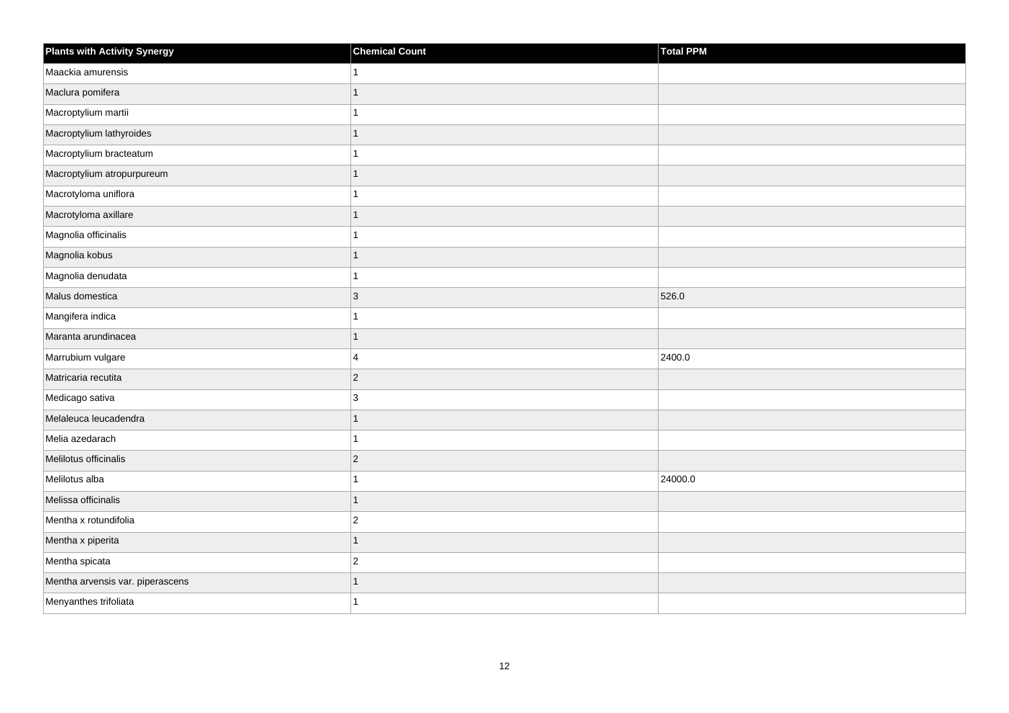| <b>Plants with Activity Synergy</b> | <b>Chemical Count</b> | <b>Total PPM</b> |
|-------------------------------------|-----------------------|------------------|
| Maackia amurensis                   |                       |                  |
| Maclura pomifera                    | 1                     |                  |
| Macroptylium martii                 |                       |                  |
| Macroptylium lathyroides            | 1                     |                  |
| Macroptylium bracteatum             |                       |                  |
| Macroptylium atropurpureum          |                       |                  |
| Macrotyloma uniflora                | 4                     |                  |
| Macrotyloma axillare                | 1                     |                  |
| Magnolia officinalis                |                       |                  |
| Magnolia kobus                      | $\overline{1}$        |                  |
| Magnolia denudata                   |                       |                  |
| Malus domestica                     | 3                     | 526.0            |
| Mangifera indica                    | 1                     |                  |
| Maranta arundinacea                 | 1                     |                  |
| Marrubium vulgare                   | 4                     | 2400.0           |
| Matricaria recutita                 | $\overline{c}$        |                  |
| Medicago sativa                     | 3                     |                  |
| Melaleuca leucadendra               | 1                     |                  |
| Melia azedarach                     | 1                     |                  |
| Melilotus officinalis               | $\overline{2}$        |                  |
| Melilotus alba                      |                       | 24000.0          |
| Melissa officinalis                 | $\overline{1}$        |                  |
| Mentha x rotundifolia               | $\overline{c}$        |                  |
| Mentha x piperita                   | 1                     |                  |
| Mentha spicata                      | $\overline{c}$        |                  |
| Mentha arvensis var. piperascens    | 1                     |                  |
| Menyanthes trifoliata               |                       |                  |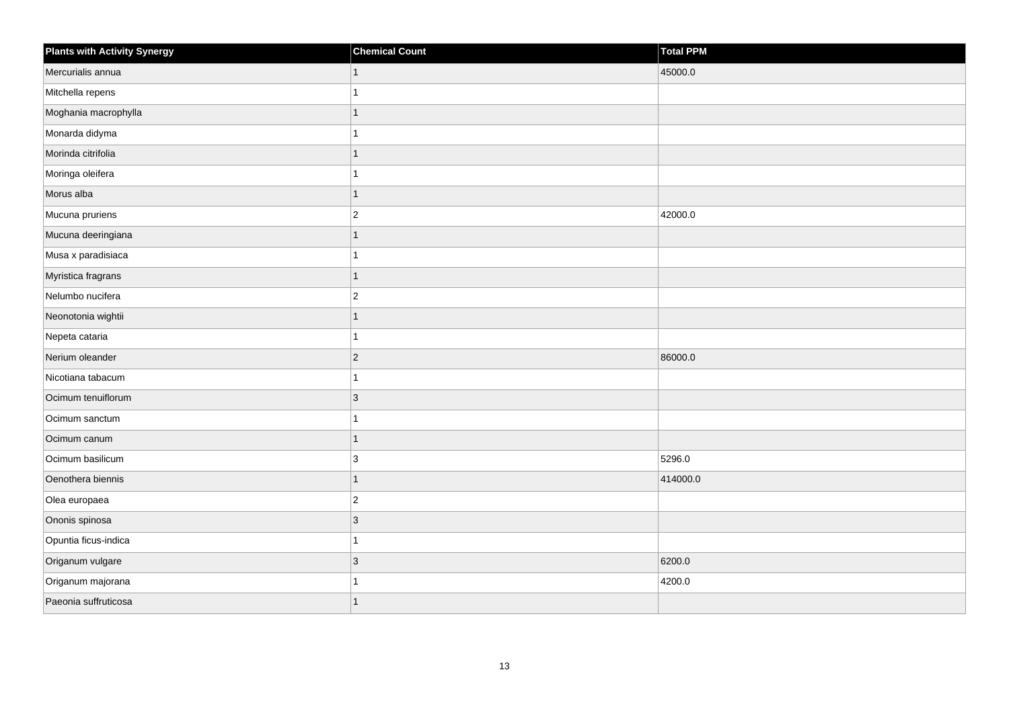| <b>Plants with Activity Synergy</b> | <b>Chemical Count</b> | <b>Total PPM</b> |
|-------------------------------------|-----------------------|------------------|
| Mercurialis annua                   | $\mathbf{1}$          | 45000.0          |
| Mitchella repens                    | 1                     |                  |
| Moghania macrophylla                | $\overline{1}$        |                  |
| Monarda didyma                      | 1                     |                  |
| Morinda citrifolia                  | $\mathbf{1}$          |                  |
| Moringa oleifera                    | $\mathbf{1}$          |                  |
| Morus alba                          | $\overline{1}$        |                  |
| Mucuna pruriens                     | $ 2\rangle$           | 42000.0          |
| Mucuna deeringiana                  | $\overline{1}$        |                  |
| Musa x paradisiaca                  | $\mathbf{1}$          |                  |
| Myristica fragrans                  | $\mathbf{1}$          |                  |
| Nelumbo nucifera                    | $ 2\rangle$           |                  |
| Neonotonia wightii                  | $\mathbf{1}$          |                  |
| Nepeta cataria                      | 1                     |                  |
| Nerium oleander                     | $ 2\rangle$           | 86000.0          |
| Nicotiana tabacum                   | $\mathbf{1}$          |                  |
| Ocimum tenuiflorum                  | 3                     |                  |
| Ocimum sanctum                      | 1                     |                  |
| Ocimum canum                        | $\overline{1}$        |                  |
| Ocimum basilicum                    | 3                     | 5296.0           |
| Oenothera biennis                   | $\mathbf{1}$          | 414000.0         |
| Olea europaea                       | $ 2\rangle$           |                  |
| Ononis spinosa                      | $\vert 3 \vert$       |                  |
| Opuntia ficus-indica                | 1                     |                  |
| Origanum vulgare                    | 3                     | 6200.0           |
| Origanum majorana                   | 1                     | 4200.0           |
| Paeonia suffruticosa                | 1                     |                  |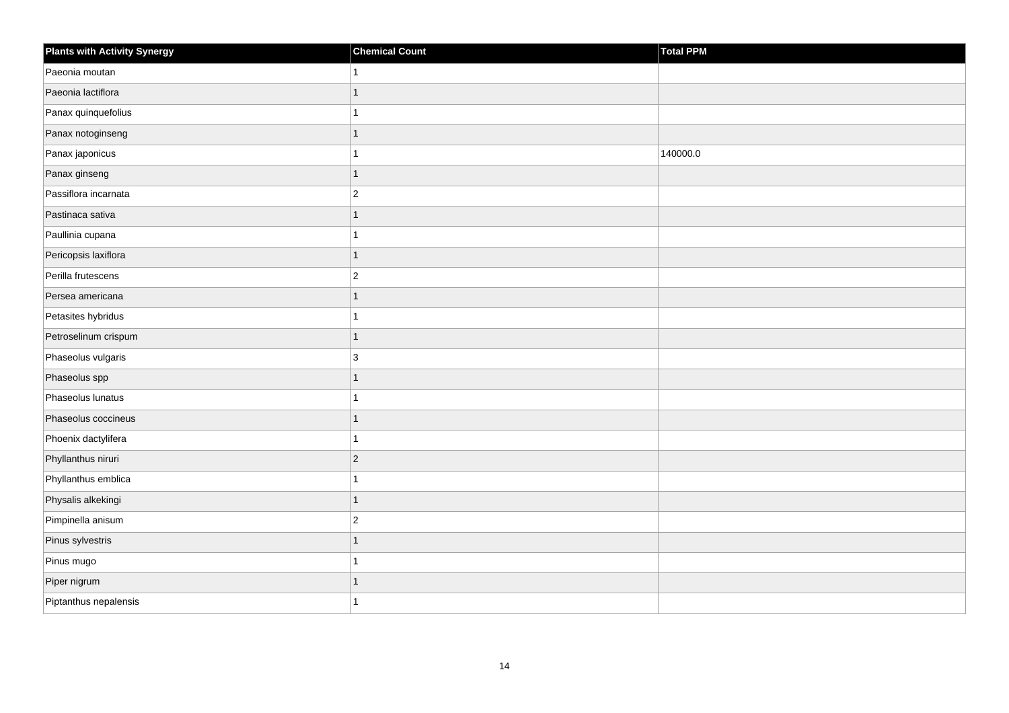| <b>Plants with Activity Synergy</b> | <b>Chemical Count</b> | Total PPM |
|-------------------------------------|-----------------------|-----------|
| Paeonia moutan                      |                       |           |
| Paeonia lactiflora                  |                       |           |
| Panax quinquefolius                 |                       |           |
| Panax notoginseng                   | 1                     |           |
| Panax japonicus                     |                       | 140000.0  |
| Panax ginseng                       | 1                     |           |
| Passiflora incarnata                | $\overline{2}$        |           |
| Pastinaca sativa                    |                       |           |
| Paullinia cupana                    |                       |           |
| Pericopsis laxiflora                | $\overline{1}$        |           |
| Perilla frutescens                  | $\overline{2}$        |           |
| Persea americana                    | 1                     |           |
| Petasites hybridus                  |                       |           |
| Petroselinum crispum                | 1                     |           |
| Phaseolus vulgaris                  | 3                     |           |
| Phaseolus spp                       | $\overline{1}$        |           |
| Phaseolus lunatus                   |                       |           |
| Phaseolus coccineus                 |                       |           |
| Phoenix dactylifera                 | 1                     |           |
| Phyllanthus niruri                  | $\overline{2}$        |           |
| Phyllanthus emblica                 |                       |           |
| Physalis alkekingi                  | $\overline{1}$        |           |
| Pimpinella anisum                   | $\overline{c}$        |           |
| Pinus sylvestris                    |                       |           |
| Pinus mugo                          | 1                     |           |
| Piper nigrum                        | 1                     |           |
| Piptanthus nepalensis               |                       |           |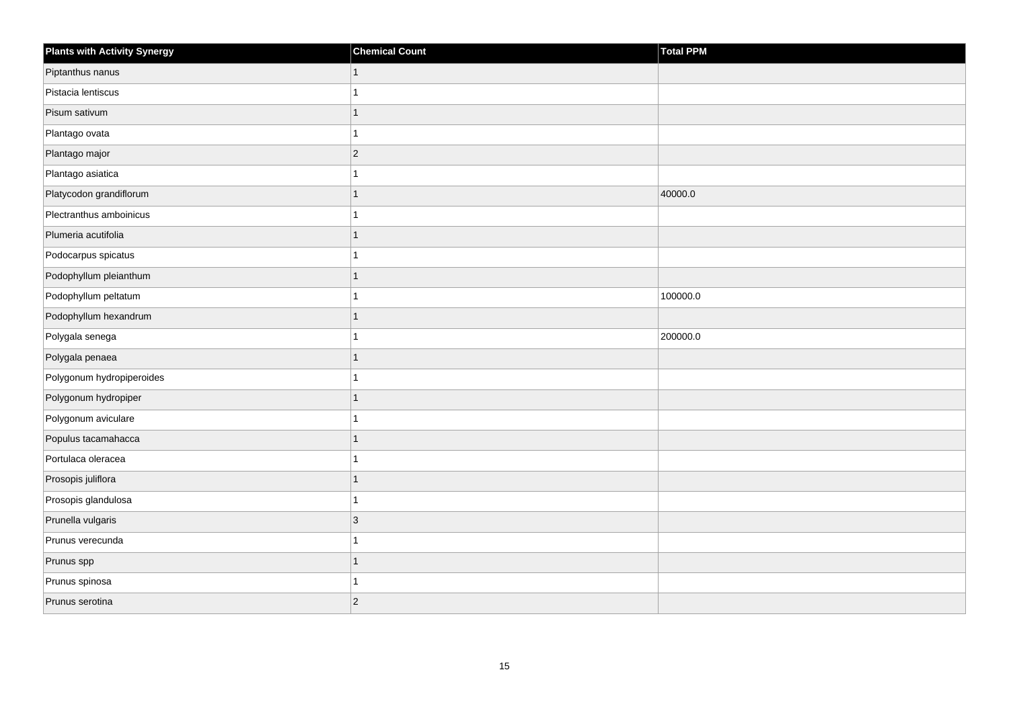| <b>Plants with Activity Synergy</b> | <b>Chemical Count</b> | Total PPM |
|-------------------------------------|-----------------------|-----------|
| Piptanthus nanus                    |                       |           |
| Pistacia lentiscus                  |                       |           |
| Pisum sativum                       | 1                     |           |
| Plantago ovata                      |                       |           |
| Plantago major                      | $\overline{2}$        |           |
| Plantago asiatica                   |                       |           |
| Platycodon grandiflorum             | 1                     | 40000.0   |
| Plectranthus amboinicus             |                       |           |
| Plumeria acutifolia                 | 1                     |           |
| Podocarpus spicatus                 |                       |           |
| Podophyllum pleianthum              |                       |           |
| Podophyllum peltatum                |                       | 100000.0  |
| Podophyllum hexandrum               | 1                     |           |
| Polygala senega                     |                       | 200000.0  |
| Polygala penaea                     |                       |           |
| Polygonum hydropiperoides           |                       |           |
| Polygonum hydropiper                |                       |           |
| Polygonum aviculare                 |                       |           |
| Populus tacamahacca                 | 1                     |           |
| Portulaca oleracea                  |                       |           |
| Prosopis juliflora                  |                       |           |
| Prosopis glandulosa                 | 1                     |           |
| Prunella vulgaris                   | 3                     |           |
| Prunus verecunda                    |                       |           |
| Prunus spp                          | $\overline{1}$        |           |
| Prunus spinosa                      |                       |           |
| Prunus serotina                     | $\overline{2}$        |           |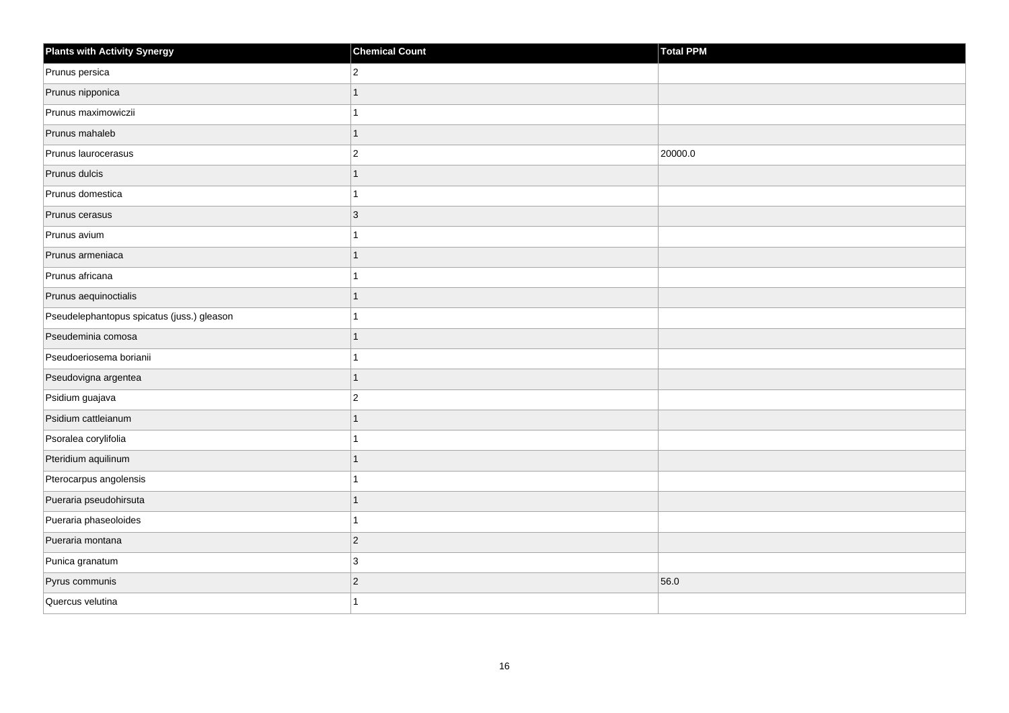| <b>Plants with Activity Synergy</b>        | <b>Chemical Count</b> | <b>Total PPM</b> |
|--------------------------------------------|-----------------------|------------------|
| Prunus persica                             | $\overline{2}$        |                  |
| Prunus nipponica                           | $\overline{1}$        |                  |
| Prunus maximowiczii                        | 1                     |                  |
| Prunus mahaleb                             | $\overline{1}$        |                  |
| Prunus laurocerasus                        | $\overline{c}$        | 20000.0          |
| Prunus dulcis                              | $\overline{1}$        |                  |
| Prunus domestica                           | 1                     |                  |
| Prunus cerasus                             | 3                     |                  |
| Prunus avium                               |                       |                  |
| Prunus armeniaca                           | $\overline{1}$        |                  |
| Prunus africana                            | 1                     |                  |
| Prunus aequinoctialis                      | 1                     |                  |
| Pseudelephantopus spicatus (juss.) gleason | 1                     |                  |
| Pseudeminia comosa                         | $\overline{1}$        |                  |
| Pseudoeriosema borianii                    |                       |                  |
| Pseudovigna argentea                       | $\mathbf{1}$          |                  |
| Psidium guajava                            | $\overline{2}$        |                  |
| Psidium cattleianum                        | $\overline{1}$        |                  |
| Psoralea corylifolia                       | 1                     |                  |
| Pteridium aquilinum                        | 1                     |                  |
| Pterocarpus angolensis                     |                       |                  |
| Pueraria pseudohirsuta                     | $\overline{1}$        |                  |
| Pueraria phaseoloides                      | 1                     |                  |
| Pueraria montana                           | $\overline{c}$        |                  |
| Punica granatum                            | 3                     |                  |
| Pyrus communis                             | $\overline{2}$        | 56.0             |
| Quercus velutina                           | 1                     |                  |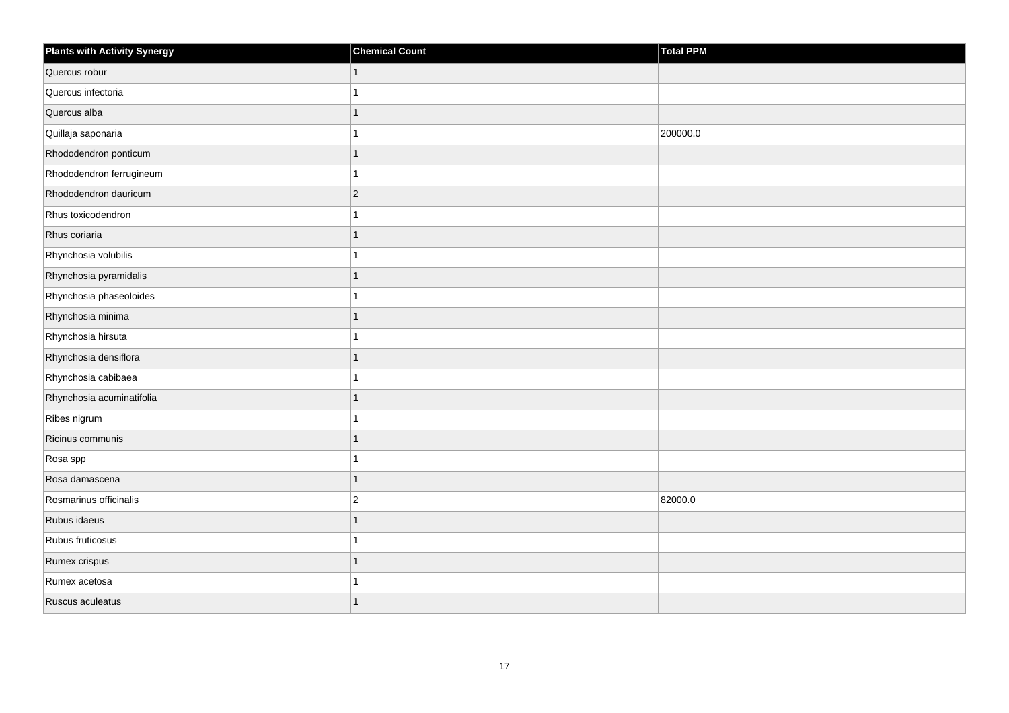| <b>Plants with Activity Synergy</b> | <b>Chemical Count</b> | Total PPM |
|-------------------------------------|-----------------------|-----------|
| Quercus robur                       | 1                     |           |
| Quercus infectoria                  |                       |           |
| Quercus alba                        |                       |           |
| Quillaja saponaria                  |                       | 200000.0  |
| Rhododendron ponticum               | 1                     |           |
| Rhododendron ferrugineum            |                       |           |
| Rhododendron dauricum               | $\overline{2}$        |           |
| Rhus toxicodendron                  |                       |           |
| Rhus coriaria                       |                       |           |
| Rhynchosia volubilis                |                       |           |
| Rhynchosia pyramidalis              | 1                     |           |
| Rhynchosia phaseoloides             |                       |           |
| Rhynchosia minima                   | 1                     |           |
| Rhynchosia hirsuta                  |                       |           |
| Rhynchosia densiflora               |                       |           |
| Rhynchosia cabibaea                 |                       |           |
| Rhynchosia acuminatifolia           | 1                     |           |
| Ribes nigrum                        |                       |           |
| Ricinus communis                    | 1                     |           |
| Rosa spp                            |                       |           |
| Rosa damascena                      | 1                     |           |
| Rosmarinus officinalis              | $\overline{2}$        | 82000.0   |
| Rubus idaeus                        |                       |           |
| Rubus fruticosus                    |                       |           |
| Rumex crispus                       | 1                     |           |
| Rumex acetosa                       |                       |           |
| Ruscus aculeatus                    |                       |           |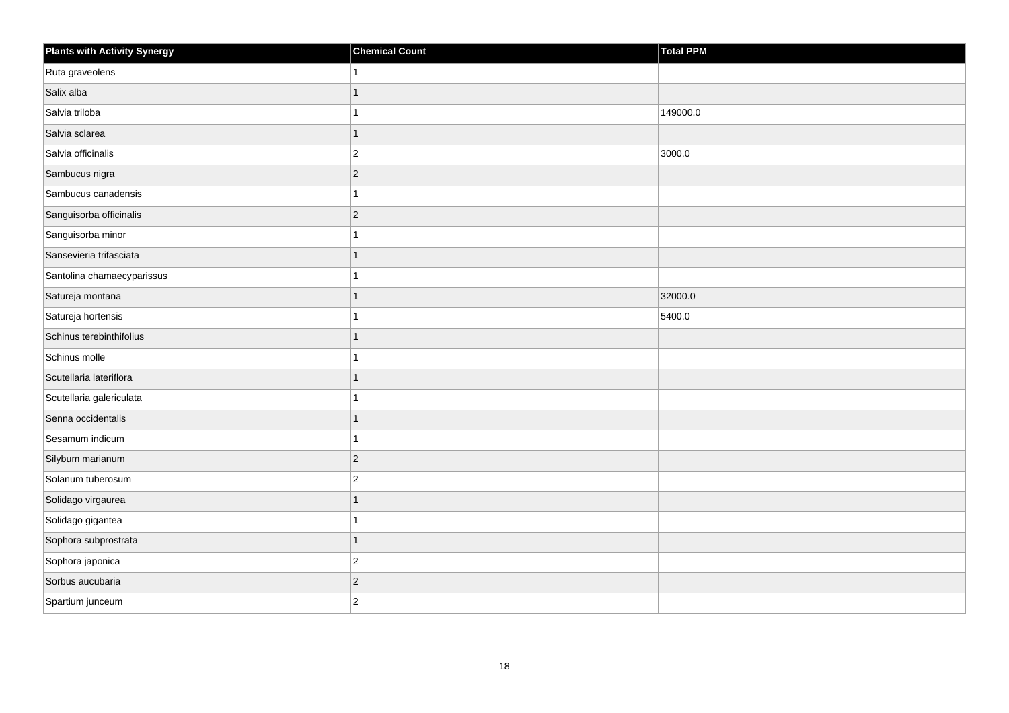| <b>Plants with Activity Synergy</b> | <b>Chemical Count</b> | <b>Total PPM</b> |
|-------------------------------------|-----------------------|------------------|
| Ruta graveolens                     | 1                     |                  |
| Salix alba                          |                       |                  |
| Salvia triloba                      |                       | 149000.0         |
| Salvia sclarea                      | $\mathbf{1}$          |                  |
| Salvia officinalis                  | $\overline{2}$        | 3000.0           |
| Sambucus nigra                      | $ 2\rangle$           |                  |
| Sambucus canadensis                 | 1                     |                  |
| Sanguisorba officinalis             | $ 2\rangle$           |                  |
| Sanguisorba minor                   | 1                     |                  |
| Sansevieria trifasciata             | 1                     |                  |
| Santolina chamaecyparissus          |                       |                  |
| Satureja montana                    | $\mathbf{1}$          | 32000.0          |
| Satureja hortensis                  | 1                     | 5400.0           |
| Schinus terebinthifolius            | $\mathbf{1}$          |                  |
| Schinus molle                       |                       |                  |
| Scutellaria lateriflora             | 1                     |                  |
| Scutellaria galericulata            |                       |                  |
| Senna occidentalis                  |                       |                  |
| Sesamum indicum                     | 1                     |                  |
| Silybum marianum                    | $ 2\rangle$           |                  |
| Solanum tuberosum                   | $\overline{2}$        |                  |
| Solidago virgaurea                  | $\mathbf{1}$          |                  |
| Solidago gigantea                   | 1                     |                  |
| Sophora subprostrata                | 1                     |                  |
| Sophora japonica                    | $\vert$ 2             |                  |
| Sorbus aucubaria                    | $ 2\rangle$           |                  |
| Spartium junceum                    | $\overline{2}$        |                  |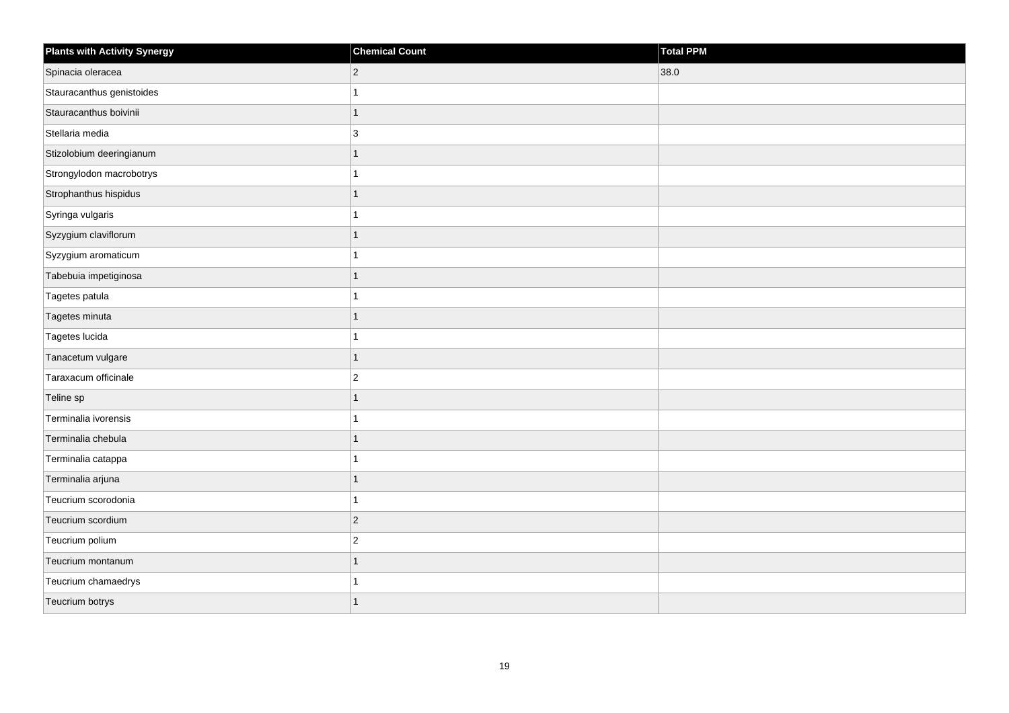| <b>Plants with Activity Synergy</b> | <b>Chemical Count</b> | Total PPM |
|-------------------------------------|-----------------------|-----------|
| Spinacia oleracea                   | $\overline{2}$        | 38.0      |
| Stauracanthus genistoides           |                       |           |
| Stauracanthus boivinii              | 1                     |           |
| Stellaria media                     | 3                     |           |
| Stizolobium deeringianum            | 1                     |           |
| Strongylodon macrobotrys            |                       |           |
| Strophanthus hispidus               | 1                     |           |
| Syringa vulgaris                    |                       |           |
| Syzygium claviflorum                | 1                     |           |
| Syzygium aromaticum                 | 4                     |           |
| Tabebuia impetiginosa               | 1                     |           |
| Tagetes patula                      |                       |           |
| Tagetes minuta                      | $\overline{1}$        |           |
| Tagetes lucida                      |                       |           |
| Tanacetum vulgare                   | 1                     |           |
| Taraxacum officinale                | $\overline{2}$        |           |
| Teline sp                           | 1                     |           |
| Terminalia ivorensis                |                       |           |
| Terminalia chebula                  | $\overline{1}$        |           |
| Terminalia catappa                  |                       |           |
| Terminalia arjuna                   | 1                     |           |
| Teucrium scorodonia                 | 1                     |           |
| Teucrium scordium                   | $\overline{2}$        |           |
| Teucrium polium                     | $\overline{2}$        |           |
| Teucrium montanum                   | $\overline{1}$        |           |
| Teucrium chamaedrys                 |                       |           |
| Teucrium botrys                     | 1                     |           |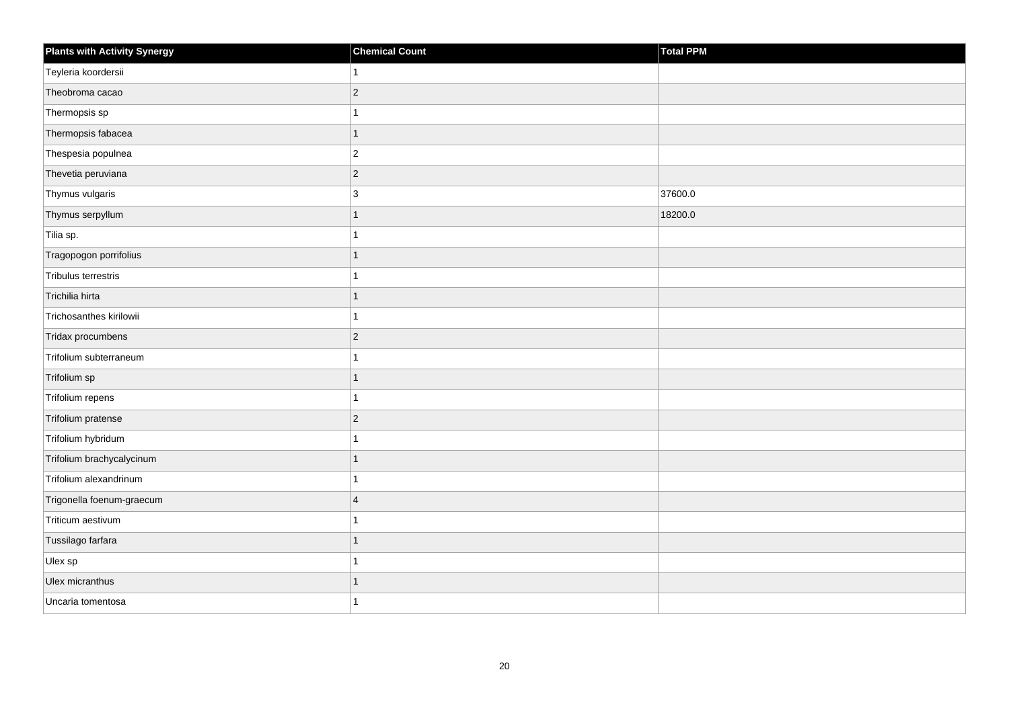| <b>Plants with Activity Synergy</b> | <b>Chemical Count</b> | Total PPM |
|-------------------------------------|-----------------------|-----------|
| Teyleria koordersii                 |                       |           |
| Theobroma cacao                     | $\overline{2}$        |           |
| Thermopsis sp                       |                       |           |
| Thermopsis fabacea                  | 1                     |           |
| Thespesia populnea                  | $\overline{2}$        |           |
| Thevetia peruviana                  | $\overline{c}$        |           |
| Thymus vulgaris                     | 3                     | 37600.0   |
| Thymus serpyllum                    | 1                     | 18200.0   |
| Tilia sp.                           |                       |           |
| Tragopogon porrifolius              | 1                     |           |
| Tribulus terrestris                 |                       |           |
| Trichilia hirta                     |                       |           |
| Trichosanthes kirilowii             | 1                     |           |
| Tridax procumbens                   | $\overline{2}$        |           |
| Trifolium subterraneum              |                       |           |
| Trifolium sp                        | 1                     |           |
| Trifolium repens                    |                       |           |
| Trifolium pratense                  | $\overline{2}$        |           |
| Trifolium hybridum                  | 1                     |           |
| Trifolium brachycalycinum           |                       |           |
| Trifolium alexandrinum              |                       |           |
| Trigonella foenum-graecum           | $\boldsymbol{\Delta}$ |           |
| Triticum aestivum                   |                       |           |
| Tussilago farfara                   |                       |           |
| Ulex sp                             | 1                     |           |
| Ulex micranthus                     |                       |           |
| Uncaria tomentosa                   |                       |           |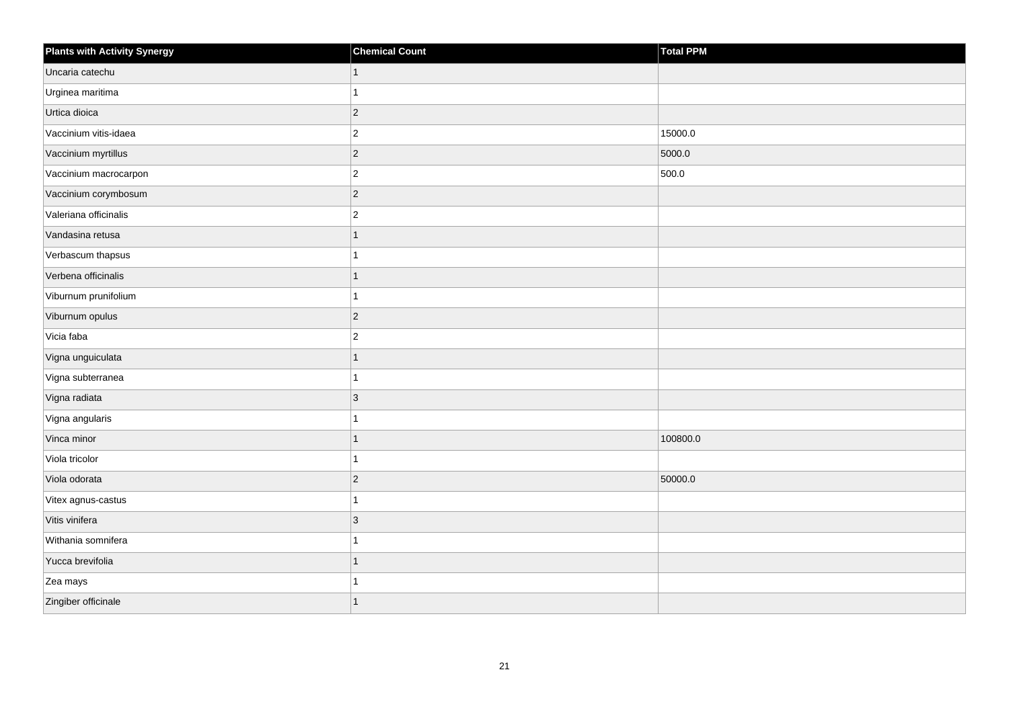| <b>Plants with Activity Synergy</b> | <b>Chemical Count</b> | Total PPM |
|-------------------------------------|-----------------------|-----------|
| Uncaria catechu                     | $\mathbf{1}$          |           |
| Urginea maritima                    |                       |           |
| Urtica dioica                       | $ 2\rangle$           |           |
| Vaccinium vitis-idaea               | $ 2\rangle$           | 15000.0   |
| Vaccinium myrtillus                 | $ 2\rangle$           | 5000.0    |
| Vaccinium macrocarpon               | $\overline{c}$        | 500.0     |
| Vaccinium corymbosum                | $ 2\rangle$           |           |
| Valeriana officinalis               | $\overline{2}$        |           |
| Vandasina retusa                    | 1                     |           |
| Verbascum thapsus                   |                       |           |
| Verbena officinalis                 | 1                     |           |
| Viburnum prunifolium                | 1                     |           |
| Viburnum opulus                     | $ 2\rangle$           |           |
| Vicia faba                          | $\overline{c}$        |           |
| Vigna unguiculata                   | 1                     |           |
| Vigna subterranea                   | 1                     |           |
| Vigna radiata                       | $ 3\rangle$           |           |
| Vigna angularis                     | 1                     |           |
| Vinca minor                         | $\overline{1}$        | 100800.0  |
| Viola tricolor                      |                       |           |
| Viola odorata                       | $ 2\rangle$           | 50000.0   |
| Vitex agnus-castus                  | 1                     |           |
| Vitis vinifera                      | $ 3\rangle$           |           |
| Withania somnifera                  | 1                     |           |
| Yucca brevifolia                    | $\mathbf{1}$          |           |
| Zea mays                            |                       |           |
| Zingiber officinale                 | 1                     |           |